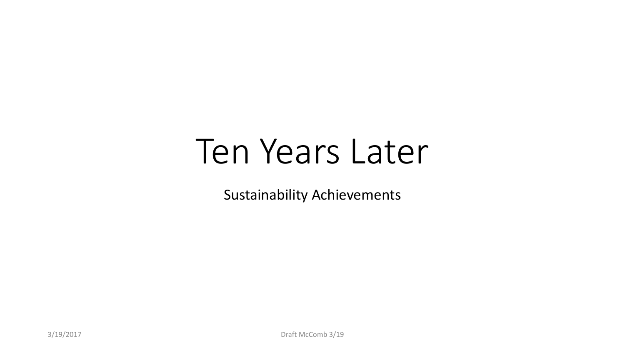# Ten Years Later

Sustainability Achievements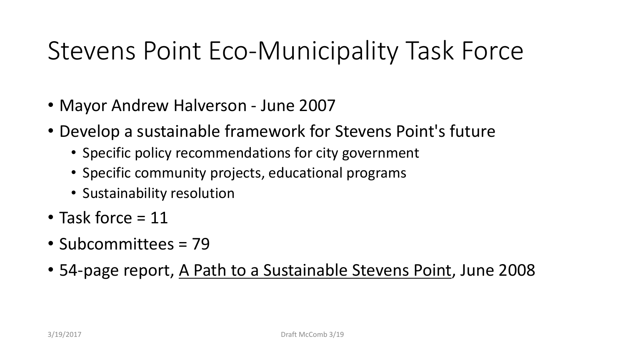### Stevens Point Eco-Municipality Task Force

- Mayor Andrew Halverson June 2007
- Develop a sustainable framework for Stevens Point's future
	- Specific policy recommendations for city government
	- Specific community projects, educational programs
	- Sustainability resolution
- Task force = 11
- Subcommittees = 79
- 54-page report, A Path to a Sustainable Stevens Point, June 2008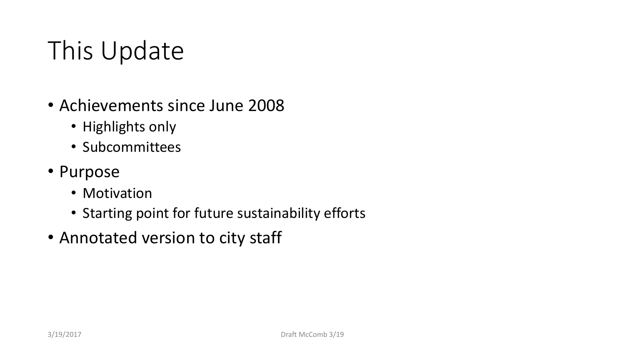### This Update

- Achievements since June 2008
	- Highlights only
	- Subcommittees
- Purpose
	- Motivation
	- Starting point for future sustainability efforts
- Annotated version to city staff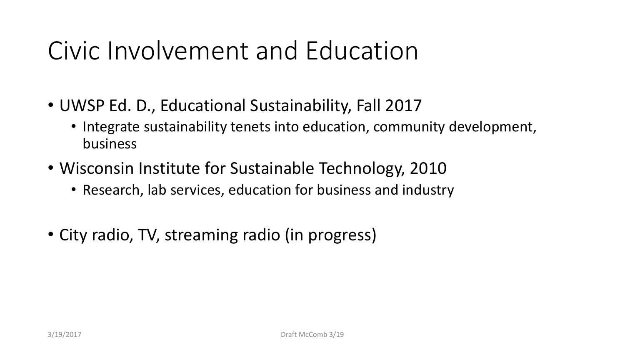### Civic Involvement and Education

- UWSP Ed. D., Educational Sustainability, Fall 2017
	- Integrate sustainability tenets into education, community development, business
- Wisconsin Institute for Sustainable Technology, 2010
	- Research, lab services, education for business and industry
- City radio, TV, streaming radio (in progress)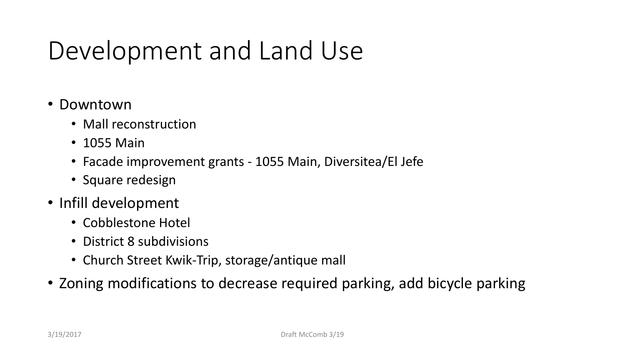### Development and Land Use

- Downtown
	- Mall reconstruction
	- 1055 Main
	- Facade improvement grants 1055 Main, Diversitea/El Jefe
	- Square redesign
- Infill development
	- Cobblestone Hotel
	- District 8 subdivisions
	- Church Street Kwik-Trip, storage/antique mall
- Zoning modifications to decrease required parking, add bicycle parking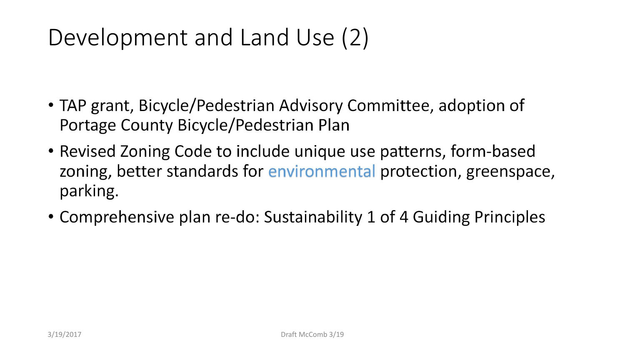#### Development and Land Use (2)

- TAP grant, Bicycle/Pedestrian Advisory Committee, adoption of Portage County Bicycle/Pedestrian Plan
- Revised Zoning Code to include unique use patterns, form-based zoning, better standards for environmental protection, greenspace, parking.
- Comprehensive plan re-do: Sustainability 1 of 4 Guiding Principles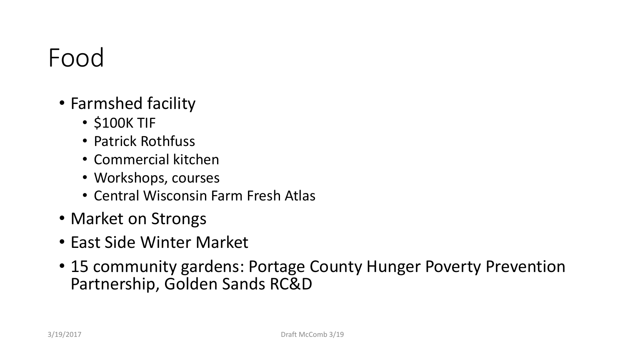### Food

- Farmshed facility
	- \$100K TIF
	- Patrick Rothfuss
	- Commercial kitchen
	- Workshops, courses
	- Central Wisconsin Farm Fresh Atlas
- Market on Strongs
- East Side Winter Market
- 15 community gardens: Portage County Hunger Poverty Prevention Partnership, Golden Sands RC&D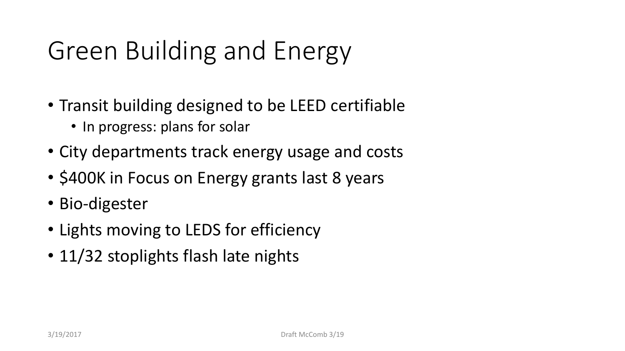## Green Building and Energy

- Transit building designed to be LEED certifiable
	- In progress: plans for solar
- City departments track energy usage and costs
- \$400K in Focus on Energy grants last 8 years
- Bio-digester
- Lights moving to LEDS for efficiency
- 11/32 stoplights flash late nights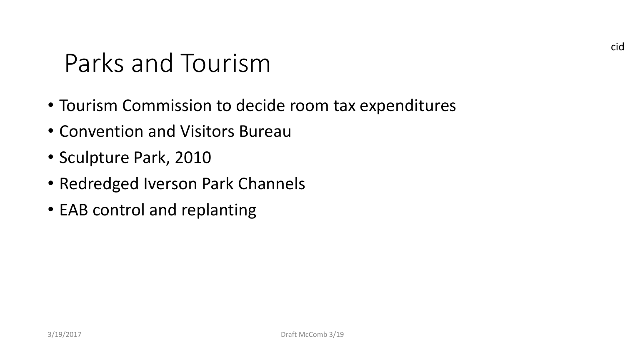# Parks and Tourism

- Tourism Commission to decide room tax expenditures
- Convention and Visitors Bureau
- Sculpture Park, 2010
- Redredged Iverson Park Channels
- EAB control and replanting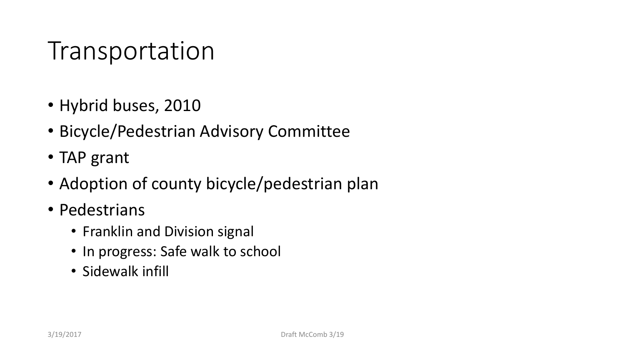### Transportation

- Hybrid buses, 2010
- Bicycle/Pedestrian Advisory Committee
- TAP grant
- Adoption of county bicycle/pedestrian plan
- Pedestrians
	- Franklin and Division signal
	- In progress: Safe walk to school
	- Sidewalk infill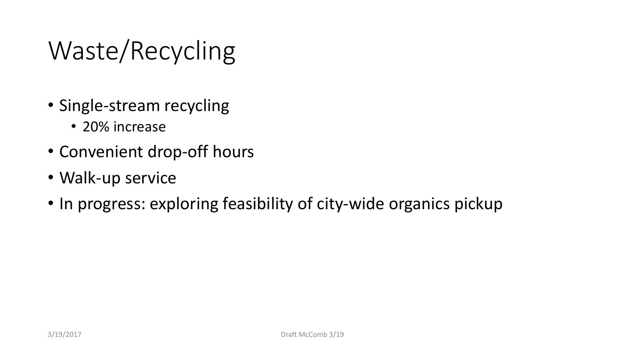## Waste/Recycling

- Single-stream recycling
	- 20% increase
- Convenient drop-off hours
- Walk-up service
- In progress: exploring feasibility of city-wide organics pickup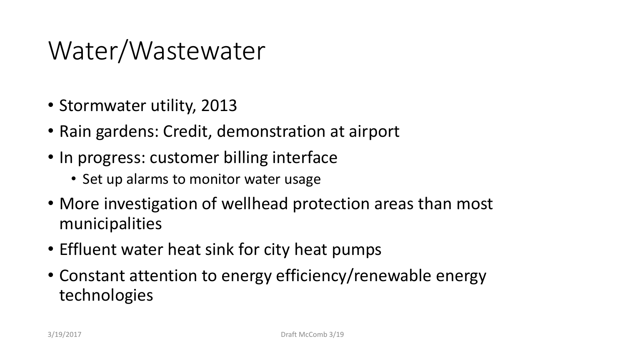### Water/Wastewater

- Stormwater utility, 2013
- Rain gardens: Credit, demonstration at airport
- In progress: customer billing interface
	- Set up alarms to monitor water usage
- More investigation of wellhead protection areas than most municipalities
- Effluent water heat sink for city heat pumps
- Constant attention to energy efficiency/renewable energy technologies